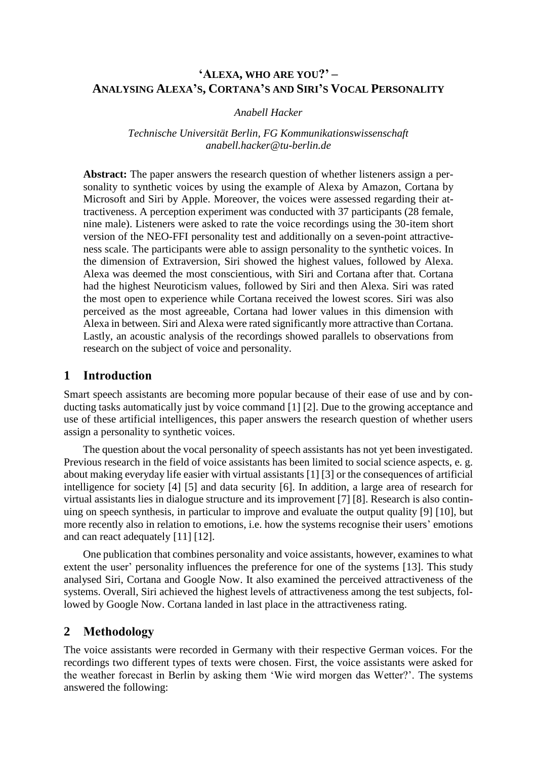# **'ALEXA, WHO ARE YOU?' – ANALYSING ALEXA'S, CORTANA'S AND SIRI'S VOCAL PERSONALITY**

*Anabell Hacker*

*Technische Universität Berlin, FG Kommunikationswissenschaft anabell.hacker@tu-berlin.de*

**Abstract:** The paper answers the research question of whether listeners assign a personality to synthetic voices by using the example of Alexa by Amazon, Cortana by Microsoft and Siri by Apple. Moreover, the voices were assessed regarding their attractiveness. A perception experiment was conducted with 37 participants (28 female, nine male). Listeners were asked to rate the voice recordings using the 30-item short version of the NEO-FFI personality test and additionally on a seven-point attractiveness scale. The participants were able to assign personality to the synthetic voices. In the dimension of Extraversion, Siri showed the highest values, followed by Alexa. Alexa was deemed the most conscientious, with Siri and Cortana after that. Cortana had the highest Neuroticism values, followed by Siri and then Alexa. Siri was rated the most open to experience while Cortana received the lowest scores. Siri was also perceived as the most agreeable, Cortana had lower values in this dimension with Alexa in between. Siri and Alexa were rated significantly more attractive than Cortana. Lastly, an acoustic analysis of the recordings showed parallels to observations from research on the subject of voice and personality.

# **1 Introduction**

Smart speech assistants are becoming more popular because of their ease of use and by conducting tasks automatically just by voice command [1] [2]. Due to the growing acceptance and use of these artificial intelligences, this paper answers the research question of whether users assign a personality to synthetic voices.

The question about the vocal personality of speech assistants has not yet been investigated. Previous research in the field of voice assistants has been limited to social science aspects, e. g. about making everyday life easier with virtual assistants [1] [3] or the consequences of artificial intelligence for society [4] [5] and data security [6]. In addition, a large area of research for virtual assistants lies in dialogue structure and its improvement [7] [8]. Research is also continuing on speech synthesis, in particular to improve and evaluate the output quality [9] [10], but more recently also in relation to emotions, i.e. how the systems recognise their users' emotions and can react adequately [11] [12].

One publication that combines personality and voice assistants, however, examines to what extent the user' personality influences the preference for one of the systems [13]. This study analysed Siri, Cortana and Google Now. It also examined the perceived attractiveness of the systems. Overall, Siri achieved the highest levels of attractiveness among the test subjects, followed by Google Now. Cortana landed in last place in the attractiveness rating.

# **2 Methodology**

The voice assistants were recorded in Germany with their respective German voices. For the recordings two different types of texts were chosen. First, the voice assistants were asked for the weather forecast in Berlin by asking them 'Wie wird morgen das Wetter?'. The systems answered the following: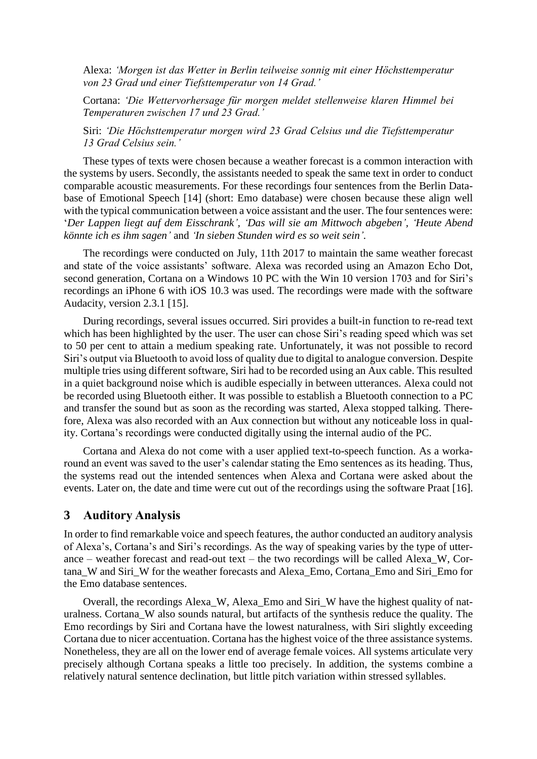Alexa: *'Morgen ist das Wetter in Berlin teilweise sonnig mit einer Höchsttemperatur von 23 Grad und einer Tiefsttemperatur von 14 Grad.'*

Cortana: *'Die Wettervorhersage für morgen meldet stellenweise klaren Himmel bei Temperaturen zwischen 17 und 23 Grad.'*

Siri: *'Die Höchsttemperatur morgen wird 23 Grad Celsius und die Tiefsttemperatur 13 Grad Celsius sein.'*

These types of texts were chosen because a weather forecast is a common interaction with the systems by users. Secondly, the assistants needed to speak the same text in order to conduct comparable acoustic measurements. For these recordings four sentences from the Berlin Database of Emotional Speech [14] (short: Emo database) were chosen because these align well with the typical communication between a voice assistant and the user. The four sentences were: '*Der Lappen liegt auf dem Eisschrank', 'Das will sie am Mittwoch abgeben', 'Heute Abend könnte ich es ihm sagen'* and *'In sieben Stunden wird es so weit sein'.*

The recordings were conducted on July, 11th 2017 to maintain the same weather forecast and state of the voice assistants' software. Alexa was recorded using an Amazon Echo Dot, second generation, Cortana on a Windows 10 PC with the Win 10 version 1703 and for Siri's recordings an iPhone 6 with iOS 10.3 was used. The recordings were made with the software Audacity, version 2.3.1 [15].

During recordings, several issues occurred. Siri provides a built-in function to re-read text which has been highlighted by the user. The user can chose Siri's reading speed which was set to 50 per cent to attain a medium speaking rate. Unfortunately, it was not possible to record Siri's output via Bluetooth to avoid loss of quality due to digital to analogue conversion. Despite multiple tries using different software, Siri had to be recorded using an Aux cable. This resulted in a quiet background noise which is audible especially in between utterances. Alexa could not be recorded using Bluetooth either. It was possible to establish a Bluetooth connection to a PC and transfer the sound but as soon as the recording was started, Alexa stopped talking. Therefore, Alexa was also recorded with an Aux connection but without any noticeable loss in quality. Cortana's recordings were conducted digitally using the internal audio of the PC.

Cortana and Alexa do not come with a user applied text-to-speech function. As a workaround an event was saved to the user's calendar stating the Emo sentences as its heading. Thus, the systems read out the intended sentences when Alexa and Cortana were asked about the events. Later on, the date and time were cut out of the recordings using the software Praat [16].

### **3 Auditory Analysis**

In order to find remarkable voice and speech features, the author conducted an auditory analysis of Alexa's, Cortana's and Siri's recordings. As the way of speaking varies by the type of utterance – weather forecast and read-out text – the two recordings will be called Alexa\_W, Cortana\_W and Siri\_W for the weather forecasts and Alexa\_Emo, Cortana\_Emo and Siri\_Emo for the Emo database sentences.

Overall, the recordings Alexa\_W, Alexa\_Emo and Siri\_W have the highest quality of naturalness. Cortana\_W also sounds natural, but artifacts of the synthesis reduce the quality. The Emo recordings by Siri and Cortana have the lowest naturalness, with Siri slightly exceeding Cortana due to nicer accentuation. Cortana has the highest voice of the three assistance systems. Nonetheless, they are all on the lower end of average female voices. All systems articulate very precisely although Cortana speaks a little too precisely. In addition, the systems combine a relatively natural sentence declination, but little pitch variation within stressed syllables.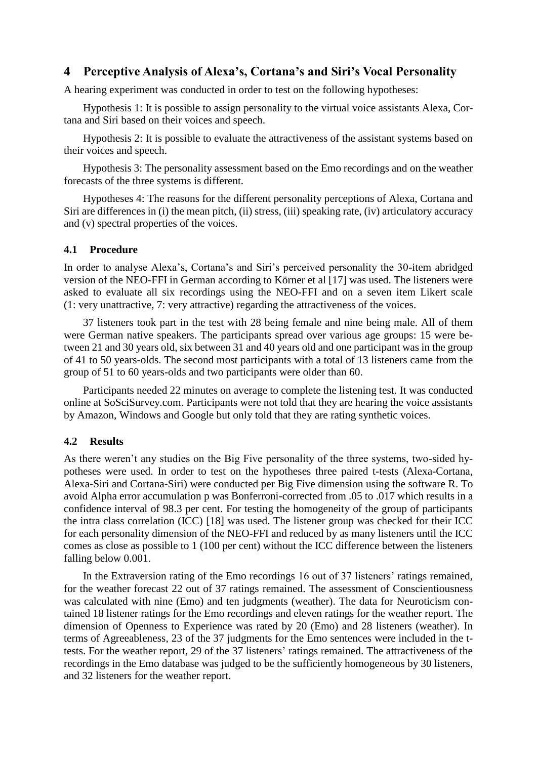## <span id="page-2-0"></span>**4 Perceptive Analysis of Alexa's, Cortana's and Siri's Vocal Personality**

A hearing experiment was conducted in order to test on the following hypotheses:

Hypothesis 1: It is possible to assign personality to the virtual voice assistants Alexa, Cortana and Siri based on their voices and speech.

Hypothesis 2: It is possible to evaluate the attractiveness of the assistant systems based on their voices and speech.

Hypothesis 3: The personality assessment based on the Emo recordings and on the weather forecasts of the three systems is different.

Hypotheses 4: The reasons for the different personality perceptions of Alexa, Cortana and Siri are differences in (i) the mean pitch, (ii) stress, (iii) speaking rate, (iv) articulatory accuracy and (v) spectral properties of the voices.

#### **4.1 Procedure**

In order to analyse Alexa's, Cortana's and Siri's perceived personality the 30-item abridged version of the NEO-FFI in German according to Körner et al [17] was used. The listeners were asked to evaluate all six recordings using the NEO-FFI and on a seven item Likert scale (1: very unattractive, 7: very attractive) regarding the attractiveness of the voices.

37 listeners took part in the test with 28 being female and nine being male. All of them were German native speakers. The participants spread over various age groups: 15 were between 21 and 30 years old, six between 31 and 40 years old and one participant was in the group of 41 to 50 years-olds. The second most participants with a total of 13 listeners came from the group of 51 to 60 years-olds and two participants were older than 60.

Participants needed 22 minutes on average to complete the listening test. It was conducted online at SoSciSurvey.com. Participants were not told that they are hearing the voice assistants by Amazon, Windows and Google but only told that they are rating synthetic voices.

#### **4.2 Results**

As there weren't any studies on the Big Five personality of the three systems, two-sided hypotheses were used. In order to test on the hypotheses three paired t-tests (Alexa-Cortana, Alexa-Siri and Cortana-Siri) were conducted per Big Five dimension using the software R. To avoid Alpha error accumulation p was Bonferroni-corrected from .05 to .017 which results in a confidence interval of 98.3 per cent. For testing the homogeneity of the group of participants the intra class correlation (ICC) [18] was used. The listener group was checked for their ICC for each personality dimension of the NEO-FFI and reduced by as many listeners until the ICC comes as close as possible to 1 (100 per cent) without the ICC difference between the listeners falling below 0.001.

In the Extraversion rating of the Emo recordings 16 out of 37 listeners' ratings remained, for the weather forecast 22 out of 37 ratings remained. The assessment of Conscientiousness was calculated with nine (Emo) and ten judgments (weather). The data for Neuroticism contained 18 listener ratings for the Emo recordings and eleven ratings for the weather report. The dimension of Openness to Experience was rated by 20 (Emo) and 28 listeners (weather). In terms of Agreeableness, 23 of the 37 judgments for the Emo sentences were included in the ttests. For the weather report, 29 of the 37 listeners' ratings remained. The attractiveness of the recordings in the Emo database was judged to be the sufficiently homogeneous by 30 listeners, and 32 listeners for the weather report.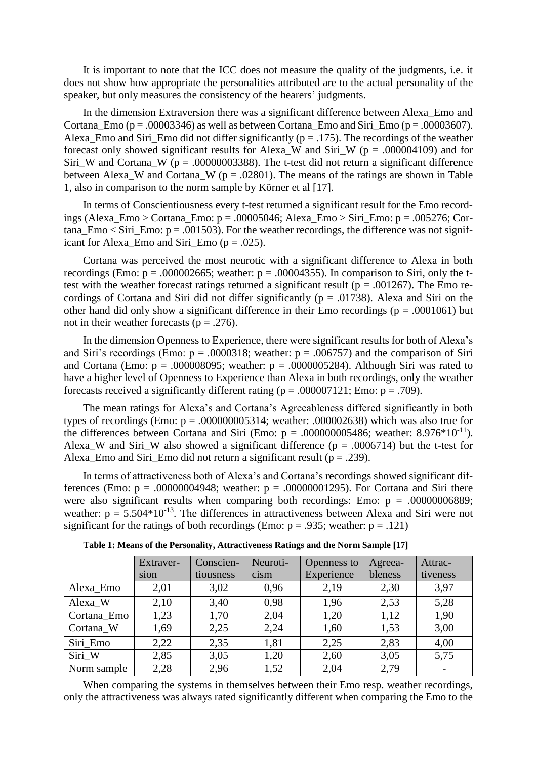It is important to note that the ICC does not measure the quality of the judgments, i.e. it does not show how appropriate the personalities attributed are to the actual personality of the speaker, but only measures the consistency of the hearers' judgments.

In the dimension Extraversion there was a significant difference between Alexa\_Emo and Cortana Emo ( $p = .00003346$ ) as well as between Cortana Emo and Siri Emo ( $p = .00003607$ ). Alexa\_Emo and Siri\_Emo did not differ significantly ( $p = .175$ ). The recordings of the weather forecast only showed significant results for Alexa W and Siri W ( $p = .000004109$ ) and for Siri W and Cortana W ( $p = .00000003388$ ). The t-test did not return a significant difference between Alexa\_W and Cortana\_W ( $p = .02801$ ). The means of the ratings are shown in Table [1,](#page-3-0) also in comparison to the norm sample by Körner et al [17].

In terms of Conscientiousness every t-test returned a significant result for the Emo recordings (Alexa Emo > Cortana Emo: p = .00005046; Alexa Emo > Siri Emo: p = .005276; Cortana  $E$ mo < Siri  $E$ mo: p = .001503). For the weather recordings, the difference was not significant for Alexa Emo and Siri Emo ( $p = .025$ ).

Cortana was perceived the most neurotic with a significant difference to Alexa in both recordings (Emo:  $p = .000002665$ ; weather:  $p = .00004355$ ). In comparison to Siri, only the ttest with the weather forecast ratings returned a significant result ( $p = .001267$ ). The Emo recordings of Cortana and Siri did not differ significantly ( $p = .01738$ ). Alexa and Siri on the other hand did only show a significant difference in their Emo recordings ( $p = .0001061$ ) but not in their weather forecasts ( $p = .276$ ).

In the dimension Openness to Experience, there were significant results for both of Alexa's and Siri's recordings (Emo:  $p = .0000318$ ; weather:  $p = .006757$ ) and the comparison of Siri and Cortana (Emo:  $p = .000008095$ ; weather:  $p = .0000005284$ ). Although Siri was rated to have a higher level of Openness to Experience than Alexa in both recordings, only the weather forecasts received a significantly different rating ( $p = .000007121$ ; Emo:  $p = .709$ ).

The mean ratings for Alexa's and Cortana's Agreeableness differed significantly in both types of recordings (Emo:  $p = .000000005314$ ; weather: .000002638) which was also true for the differences between Cortana and Siri (Emo:  $p = .000000005486$ ; weather: 8.976\*10<sup>-11</sup>). Alexa W and Siri W also showed a significant difference ( $p = .0006714$ ) but the t-test for Alexa\_Emo and Siri\_Emo did not return a significant result ( $p = .239$ ).

In terms of attractiveness both of Alexa's and Cortana's recordings showed significant differences (Emo:  $p = .00000004948$ ; weather:  $p = .00000001295$ ). For Cortana and Siri there were also significant results when comparing both recordings: Emo:  $p = .00000006889$ ; weather:  $p = 5.504*10^{-13}$ . The differences in attractiveness between Alexa and Siri were not significant for the ratings of both recordings (Emo:  $p = .935$ ; weather:  $p = .121$ )

<span id="page-3-0"></span>

|             | Extraver- | Conscien- | Neuroti- | Openness to | Agreea- | Attrac-  |
|-------------|-----------|-----------|----------|-------------|---------|----------|
|             | sion      | tiousness | cism     | Experience  | bleness | tiveness |
| Alexa_Emo   | 2,01      | 3,02      | 0,96     | 2,19        | 2,30    | 3,97     |
| Alexa_W     | 2,10      | 3,40      | 0.98     | 1,96        | 2,53    | 5,28     |
| Cortana_Emo | 1,23      | 1,70      | 2,04     | 1,20        | 1,12    | 1,90     |
| Cortana_W   | 1,69      | 2,25      | 2,24     | 1,60        | 1,53    | 3,00     |
| Siri Emo    | 2,22      | 2,35      | 1,81     | 2,25        | 2,83    | 4,00     |
| Siri_W      | 2,85      | 3,05      | 1,20     | 2,60        | 3,05    | 5,75     |
| Norm sample | 2,28      | 2,96      | 1,52     | 2,04        | 2,79    |          |

**Table 1: Means of the Personality, Attractiveness Ratings and the Norm Sample [17]**

When comparing the systems in themselves between their Emo resp. weather recordings, only the attractiveness was always rated significantly different when comparing the Emo to the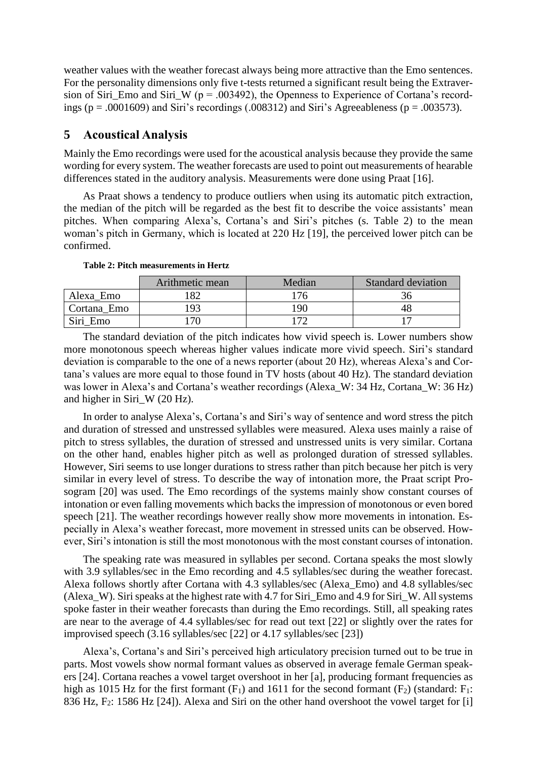weather values with the weather forecast always being more attractive than the Emo sentences. For the personality dimensions only five t-tests returned a significant result being the Extraversion of Siri\_Emo and Siri\_W (p = .003492), the Openness to Experience of Cortana's recordings ( $p = .0001609$ ) and Siri's recordings (.008312) and Siri's Agreeableness ( $p = .003573$ ).

### **5 Acoustical Analysis**

Mainly the Emo recordings were used for the acoustical analysis because they provide the same wording for every system. The weather forecasts are used to point out measurements of hearable differences stated in the auditory analysis. Measurements were done using Praat [16].

As Praat shows a tendency to produce outliers when using its automatic pitch extraction, the median of the pitch will be regarded as the best fit to describe the voice assistants' mean pitches. When comparing Alexa's, Cortana's and Siri's pitches (s. [Table 2\)](#page-4-0) to the mean woman's pitch in Germany, which is located at 220 Hz [19], the perceived lower pitch can be confirmed.

<span id="page-4-0"></span>

|             | Arithmetic mean | Median       | <b>Standard deviation</b> |
|-------------|-----------------|--------------|---------------------------|
| Alexa Emo   |                 | 76           |                           |
| Cortana Emo | 93 ا            | 190          |                           |
| Siri Emo    | 70              | $\mathbf{a}$ |                           |

**Table 2: Pitch measurements in Hertz**

The standard deviation of the pitch indicates how vivid speech is. Lower numbers show more monotonous speech whereas higher values indicate more vivid speech. Siri's standard deviation is comparable to the one of a news reporter (about 20 Hz), whereas Alexa's and Cortana's values are more equal to those found in TV hosts (about 40 Hz). The standard deviation was lower in Alexa's and Cortana's weather recordings (Alexa W: 34 Hz, Cortana W: 36 Hz) and higher in Siri\_W (20 Hz).

In order to analyse Alexa's, Cortana's and Siri's way of sentence and word stress the pitch and duration of stressed and unstressed syllables were measured. Alexa uses mainly a raise of pitch to stress syllables, the duration of stressed and unstressed units is very similar. Cortana on the other hand, enables higher pitch as well as prolonged duration of stressed syllables. However, Siri seems to use longer durations to stress rather than pitch because her pitch is very similar in every level of stress. To describe the way of intonation more, the Praat script Prosogram [20] was used. The Emo recordings of the systems mainly show constant courses of intonation or even falling movements which backs the impression of monotonous or even bored speech [21]. The weather recordings however really show more movements in intonation. Especially in Alexa's weather forecast, more movement in stressed units can be observed. However, Siri's intonation is still the most monotonous with the most constant courses of intonation.

The speaking rate was measured in syllables per second. Cortana speaks the most slowly with 3.9 syllables/sec in the Emo recording and 4.5 syllables/sec during the weather forecast. Alexa follows shortly after Cortana with 4.3 syllables/sec (Alexa\_Emo) and 4.8 syllables/sec (Alexa\_W). Siri speaks at the highest rate with 4.7 for Siri\_Emo and 4.9 for Siri\_W. All systems spoke faster in their weather forecasts than during the Emo recordings. Still, all speaking rates are near to the average of 4.4 syllables/sec for read out text [22] or slightly over the rates for improvised speech (3.16 syllables/sec [22] or 4.17 syllables/sec [23])

Alexa's, Cortana's and Siri's perceived high articulatory precision turned out to be true in parts. Most vowels show normal formant values as observed in average female German speakers [24]. Cortana reaches a vowel target overshoot in her [a], producing formant frequencies as high as 1015 Hz for the first formant  $(F_1)$  and 1611 for the second formant  $(F_2)$  (standard:  $F_1$ : 836 Hz,  $F_2$ : 1586 Hz [24]). Alexa and Siri on the other hand overshoot the vowel target for [i]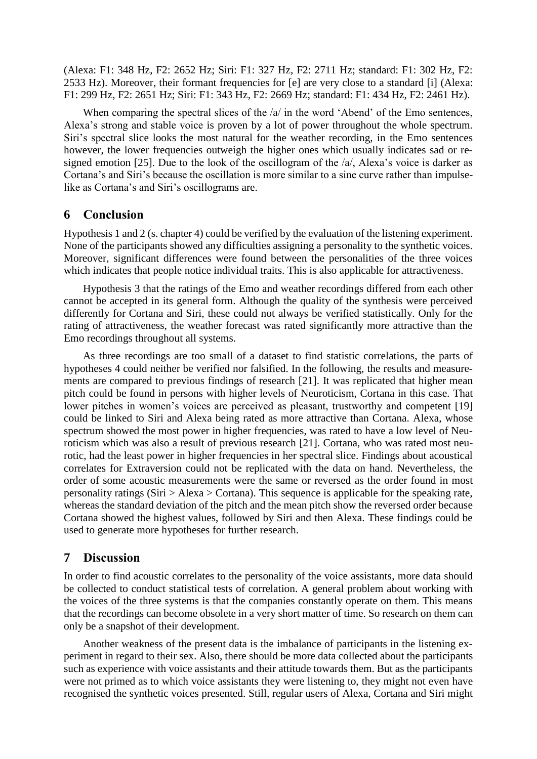(Alexa: F1: 348 Hz, F2: 2652 Hz; Siri: F1: 327 Hz, F2: 2711 Hz; standard: F1: 302 Hz, F2: 2533 Hz). Moreover, their formant frequencies for [e] are very close to a standard [i] (Alexa: F1: 299 Hz, F2: 2651 Hz; Siri: F1: 343 Hz, F2: 2669 Hz; standard: F1: 434 Hz, F2: 2461 Hz).

When comparing the spectral slices of the  $/a/$  in the word 'Abend' of the Emo sentences, Alexa's strong and stable voice is proven by a lot of power throughout the whole spectrum. Siri's spectral slice looks the most natural for the weather recording, in the Emo sentences however, the lower frequencies outweigh the higher ones which usually indicates sad or resigned emotion [25]. Due to the look of the oscillogram of the /a/, Alexa's voice is darker as Cortana's and Siri's because the oscillation is more similar to a sine curve rather than impulselike as Cortana's and Siri's oscillograms are.

## **6 Conclusion**

Hypothesis 1 and 2 (s. chapte[r 4\)](#page-2-0) could be verified by the evaluation of the listening experiment. None of the participants showed any difficulties assigning a personality to the synthetic voices. Moreover, significant differences were found between the personalities of the three voices which indicates that people notice individual traits. This is also applicable for attractiveness.

Hypothesis 3 that the ratings of the Emo and weather recordings differed from each other cannot be accepted in its general form. Although the quality of the synthesis were perceived differently for Cortana and Siri, these could not always be verified statistically. Only for the rating of attractiveness, the weather forecast was rated significantly more attractive than the Emo recordings throughout all systems.

As three recordings are too small of a dataset to find statistic correlations, the parts of hypotheses 4 could neither be verified nor falsified. In the following, the results and measurements are compared to previous findings of research [21]. It was replicated that higher mean pitch could be found in persons with higher levels of Neuroticism, Cortana in this case. That lower pitches in women's voices are perceived as pleasant, trustworthy and competent [19] could be linked to Siri and Alexa being rated as more attractive than Cortana. Alexa, whose spectrum showed the most power in higher frequencies, was rated to have a low level of Neuroticism which was also a result of previous research [21]. Cortana, who was rated most neurotic, had the least power in higher frequencies in her spectral slice. Findings about acoustical correlates for Extraversion could not be replicated with the data on hand. Nevertheless, the order of some acoustic measurements were the same or reversed as the order found in most personality ratings (Siri  $>$  Alexa  $>$  Cortana). This sequence is applicable for the speaking rate, whereas the standard deviation of the pitch and the mean pitch show the reversed order because Cortana showed the highest values, followed by Siri and then Alexa. These findings could be used to generate more hypotheses for further research.

## **7 Discussion**

In order to find acoustic correlates to the personality of the voice assistants, more data should be collected to conduct statistical tests of correlation. A general problem about working with the voices of the three systems is that the companies constantly operate on them. This means that the recordings can become obsolete in a very short matter of time. So research on them can only be a snapshot of their development.

Another weakness of the present data is the imbalance of participants in the listening experiment in regard to their sex. Also, there should be more data collected about the participants such as experience with voice assistants and their attitude towards them. But as the participants were not primed as to which voice assistants they were listening to, they might not even have recognised the synthetic voices presented. Still, regular users of Alexa, Cortana and Siri might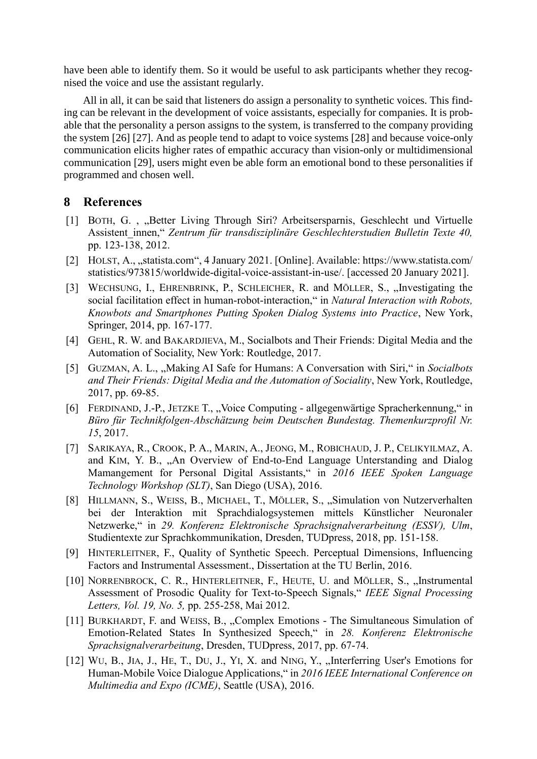have been able to identify them. So it would be useful to ask participants whether they recognised the voice and use the assistant regularly.

All in all, it can be said that listeners do assign a personality to synthetic voices. This finding can be relevant in the development of voice assistants, especially for companies. It is probable that the personality a person assigns to the system, is transferred to the company providing the system [26] [27]. And as people tend to adapt to voice systems [28] and because voice-only communication elicits higher rates of empathic accuracy than vision-only or multidimensional communication [29], users might even be able form an emotional bond to these personalities if programmed and chosen well.

### **8 References**

- [1] BOTH, G., "Better Living Through Siri? Arbeitsersparnis, Geschlecht und Virtuelle Assistent\_innen," *Zentrum für transdisziplinäre Geschlechterstudien Bulletin Texte 40,*  pp. 123-138, 2012.
- [2] HOLST, A., "statista.com", 4 January 2021. [Online]. Available: https://www.statista.com/ statistics/973815/worldwide-digital-voice-assistant-in-use/. [accessed 20 January 2021].
- [3] WECHSUNG, I., EHRENBRINK, P., SCHLEICHER, R. and MÖLLER, S., "Investigating the social facilitation effect in human-robot-interaction," in *Natural Interaction with Robots, Knowbots and Smartphones Putting Spoken Dialog Systems into Practice*, New York, Springer, 2014, pp. 167-177.
- [4] GEHL, R. W. and BAKARDJIEVA, M., Socialbots and Their Friends: Digital Media and the Automation of Sociality, New York: Routledge, 2017.
- [5] GUZMAN, A. L., "Making AI Safe for Humans: A Conversation with Siri," in *Socialbots and Their Friends: Digital Media and the Automation of Sociality*, New York, Routledge, 2017, pp. 69-85.
- [6] FERDINAND, J.-P., JETZKE T., "Voice Computing allgegenwärtige Spracherkennung," in *Büro für Technikfolgen-Abschätzung beim Deutschen Bundestag. Themenkurzprofil Nr. 15*, 2017.
- [7] SARIKAYA, R., CROOK, P. A., MARIN, A., JEONG, M., ROBICHAUD, J. P., CELIKYILMAZ, A. and KIM, Y. B., "An Overview of End-to-End Language Unterstanding and Dialog Mamangement for Personal Digital Assistants," in *2016 IEEE Spoken Language Technology Workshop (SLT)*, San Diego (USA), 2016.
- [8] HILLMANN, S., WEISS, B., MICHAEL, T., MÖLLER, S., "Simulation von Nutzerverhalten bei der Interaktion mit Sprachdialogsystemen mittels Künstlicher Neuronaler Netzwerke," in *29. Konferenz Elektronische Sprachsignalverarbeitung (ESSV), Ulm*, Studientexte zur Sprachkommunikation, Dresden, TUDpress, 2018, pp. 151-158.
- [9] HINTERLEITNER, F., Quality of Synthetic Speech. Perceptual Dimensions, Influencing Factors and Instrumental Assessment., Dissertation at the TU Berlin, 2016.
- [10] NORRENBROCK, C. R., HINTERLEITNER, F., HEUTE, U. and MÖLLER, S., "Instrumental Assessment of Prosodic Quality for Text-to-Speech Signals," *IEEE Signal Processing Letters, Vol. 19, No. 5,* pp. 255-258, Mai 2012.
- [11] BURKHARDT, F. and WEISS, B., "Complex Emotions The Simultaneous Simulation of Emotion-Related States In Synthesized Speech," in *28. Konferenz Elektronische Sprachsignalverarbeitung*, Dresden, TUDpress, 2017, pp. 67-74.
- [12] WU, B., JIA, J., HE, T., DU, J., YI, X. and NING, Y., "Interferring User's Emotions for Human-Mobile Voice Dialogue Applications," in *2016 IEEE International Conference on Multimedia and Expo (ICME)*, Seattle (USA), 2016.